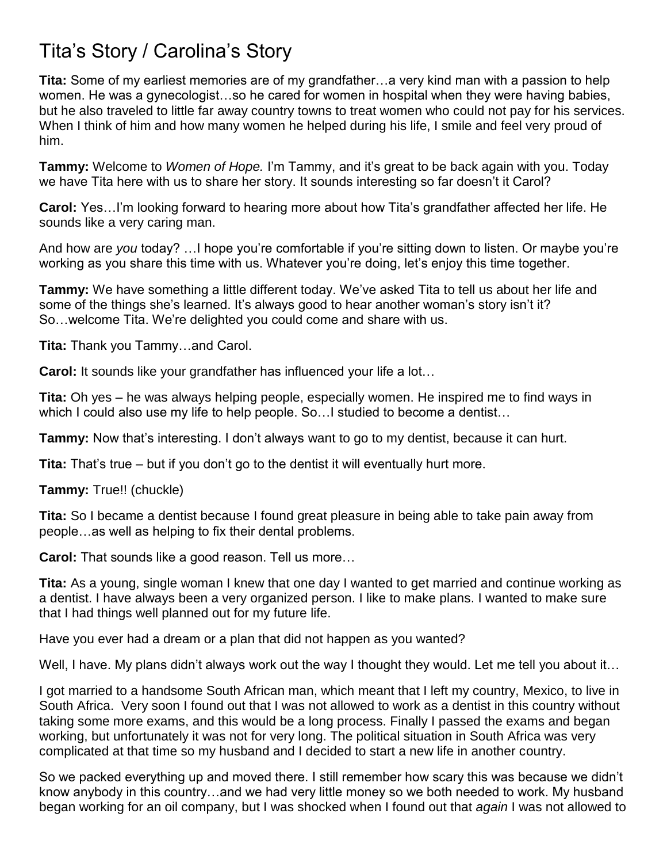## Tita's Story / Carolina's Story

**Tita:** Some of my earliest memories are of my grandfather…a very kind man with a passion to help women. He was a gynecologist…so he cared for women in hospital when they were having babies, but he also traveled to little far away country towns to treat women who could not pay for his services. When I think of him and how many women he helped during his life, I smile and feel very proud of him.

**Tammy:** Welcome to *Women of Hope.* I'm Tammy, and it's great to be back again with you. Today we have Tita here with us to share her story. It sounds interesting so far doesn't it Carol?

**Carol:** Yes…I'm looking forward to hearing more about how Tita's grandfather affected her life. He sounds like a very caring man.

And how are *you* today? …I hope you're comfortable if you're sitting down to listen. Or maybe you're working as you share this time with us. Whatever you're doing, let's enjoy this time together.

**Tammy:** We have something a little different today. We've asked Tita to tell us about her life and some of the things she's learned. It's always good to hear another woman's story isn't it? So…welcome Tita. We're delighted you could come and share with us.

**Tita:** Thank you Tammy…and Carol.

**Carol:** It sounds like your grandfather has influenced your life a lot...

**Tita:** Oh yes – he was always helping people, especially women. He inspired me to find ways in which I could also use my life to help people. So... I studied to become a dentist...

**Tammy:** Now that's interesting. I don't always want to go to my dentist, because it can hurt.

**Tita:** That's true – but if you don't go to the dentist it will eventually hurt more.

**Tammy:** True!! (chuckle)

**Tita:** So I became a dentist because I found great pleasure in being able to take pain away from people…as well as helping to fix their dental problems.

**Carol:** That sounds like a good reason. Tell us more…

**Tita:** As a young, single woman I knew that one day I wanted to get married and continue working as a dentist. I have always been a very organized person. I like to make plans. I wanted to make sure that I had things well planned out for my future life.

Have you ever had a dream or a plan that did not happen as you wanted?

Well, I have. My plans didn't always work out the way I thought they would. Let me tell you about it...

I got married to a handsome South African man, which meant that I left my country, Mexico, to live in South Africa. Very soon I found out that I was not allowed to work as a dentist in this country without taking some more exams, and this would be a long process. Finally I passed the exams and began working, but unfortunately it was not for very long. The political situation in South Africa was very complicated at that time so my husband and I decided to start a new life in another country.

So we packed everything up and moved there. I still remember how scary this was because we didn't know anybody in this country…and we had very little money so we both needed to work. My husband began working for an oil company, but I was shocked when I found out that *again* I was not allowed to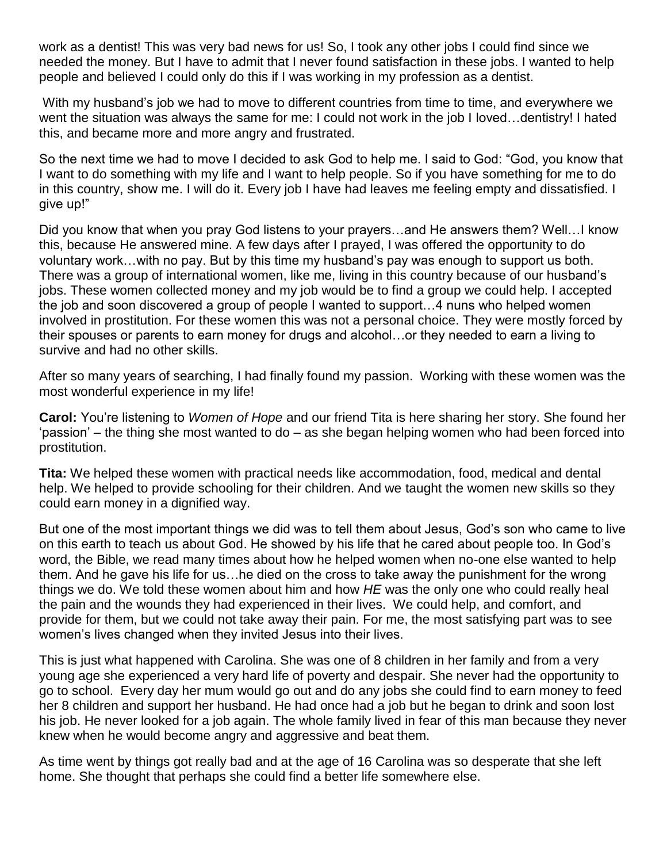work as a dentist! This was very bad news for us! So, I took any other jobs I could find since we needed the money. But I have to admit that I never found satisfaction in these jobs. I wanted to help people and believed I could only do this if I was working in my profession as a dentist.

With my husband's job we had to move to different countries from time to time, and everywhere we went the situation was always the same for me: I could not work in the job I loved…dentistry! I hated this, and became more and more angry and frustrated.

So the next time we had to move I decided to ask God to help me. I said to God: "God, you know that I want to do something with my life and I want to help people. So if you have something for me to do in this country, show me. I will do it. Every job I have had leaves me feeling empty and dissatisfied. I give up!"

Did you know that when you pray God listens to your prayers…and He answers them? Well…I know this, because He answered mine. A few days after I prayed, I was offered the opportunity to do voluntary work…with no pay. But by this time my husband's pay was enough to support us both. There was a group of international women, like me, living in this country because of our husband's jobs. These women collected money and my job would be to find a group we could help. I accepted the job and soon discovered a group of people I wanted to support…4 nuns who helped women involved in prostitution. For these women this was not a personal choice. They were mostly forced by their spouses or parents to earn money for drugs and alcohol…or they needed to earn a living to survive and had no other skills.

After so many years of searching, I had finally found my passion. Working with these women was the most wonderful experience in my life!

**Carol:** You're listening to *Women of Hope* and our friend Tita is here sharing her story. She found her 'passion' – the thing she most wanted to do – as she began helping women who had been forced into prostitution.

**Tita:** We helped these women with practical needs like accommodation, food, medical and dental help. We helped to provide schooling for their children. And we taught the women new skills so they could earn money in a dignified way.

But one of the most important things we did was to tell them about Jesus, God's son who came to live on this earth to teach us about God. He showed by his life that he cared about people too. In God's word, the Bible, we read many times about how he helped women when no-one else wanted to help them. And he gave his life for us…he died on the cross to take away the punishment for the wrong things we do. We told these women about him and how *HE* was the only one who could really heal the pain and the wounds they had experienced in their lives. We could help, and comfort, and provide for them, but we could not take away their pain. For me, the most satisfying part was to see women's lives changed when they invited Jesus into their lives.

This is just what happened with Carolina. She was one of 8 children in her family and from a very young age she experienced a very hard life of poverty and despair. She never had the opportunity to go to school. Every day her mum would go out and do any jobs she could find to earn money to feed her 8 children and support her husband. He had once had a job but he began to drink and soon lost his job. He never looked for a job again. The whole family lived in fear of this man because they never knew when he would become angry and aggressive and beat them.

As time went by things got really bad and at the age of 16 Carolina was so desperate that she left home. She thought that perhaps she could find a better life somewhere else.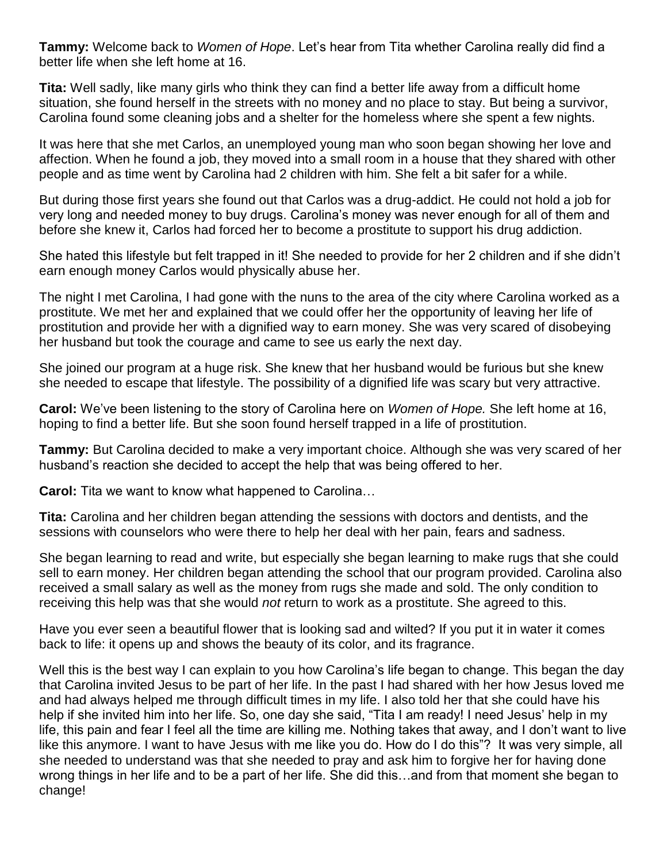**Tammy:** Welcome back to *Women of Hope*. Let's hear from Tita whether Carolina really did find a better life when she left home at 16.

**Tita:** Well sadly, like many girls who think they can find a better life away from a difficult home situation, she found herself in the streets with no money and no place to stay. But being a survivor, Carolina found some cleaning jobs and a shelter for the homeless where she spent a few nights.

It was here that she met Carlos, an unemployed young man who soon began showing her love and affection. When he found a job, they moved into a small room in a house that they shared with other people and as time went by Carolina had 2 children with him. She felt a bit safer for a while.

But during those first years she found out that Carlos was a drug-addict. He could not hold a job for very long and needed money to buy drugs. Carolina's money was never enough for all of them and before she knew it, Carlos had forced her to become a prostitute to support his drug addiction.

She hated this lifestyle but felt trapped in it! She needed to provide for her 2 children and if she didn't earn enough money Carlos would physically abuse her.

The night I met Carolina, I had gone with the nuns to the area of the city where Carolina worked as a prostitute. We met her and explained that we could offer her the opportunity of leaving her life of prostitution and provide her with a dignified way to earn money. She was very scared of disobeying her husband but took the courage and came to see us early the next day.

She joined our program at a huge risk. She knew that her husband would be furious but she knew she needed to escape that lifestyle. The possibility of a dignified life was scary but very attractive.

**Carol:** We've been listening to the story of Carolina here on *Women of Hope.* She left home at 16, hoping to find a better life. But she soon found herself trapped in a life of prostitution.

**Tammy:** But Carolina decided to make a very important choice. Although she was very scared of her husband's reaction she decided to accept the help that was being offered to her.

**Carol:** Tita we want to know what happened to Carolina…

**Tita:** Carolina and her children began attending the sessions with doctors and dentists, and the sessions with counselors who were there to help her deal with her pain, fears and sadness.

She began learning to read and write, but especially she began learning to make rugs that she could sell to earn money. Her children began attending the school that our program provided. Carolina also received a small salary as well as the money from rugs she made and sold. The only condition to receiving this help was that she would *not* return to work as a prostitute. She agreed to this.

Have you ever seen a beautiful flower that is looking sad and wilted? If you put it in water it comes back to life: it opens up and shows the beauty of its color, and its fragrance.

Well this is the best way I can explain to you how Carolina's life began to change. This began the day that Carolina invited Jesus to be part of her life. In the past I had shared with her how Jesus loved me and had always helped me through difficult times in my life. I also told her that she could have his help if she invited him into her life. So, one day she said, "Tita I am ready! I need Jesus' help in my life, this pain and fear I feel all the time are killing me. Nothing takes that away, and I don't want to live like this anymore. I want to have Jesus with me like you do. How do I do this"? It was very simple, all she needed to understand was that she needed to pray and ask him to forgive her for having done wrong things in her life and to be a part of her life. She did this…and from that moment she began to change!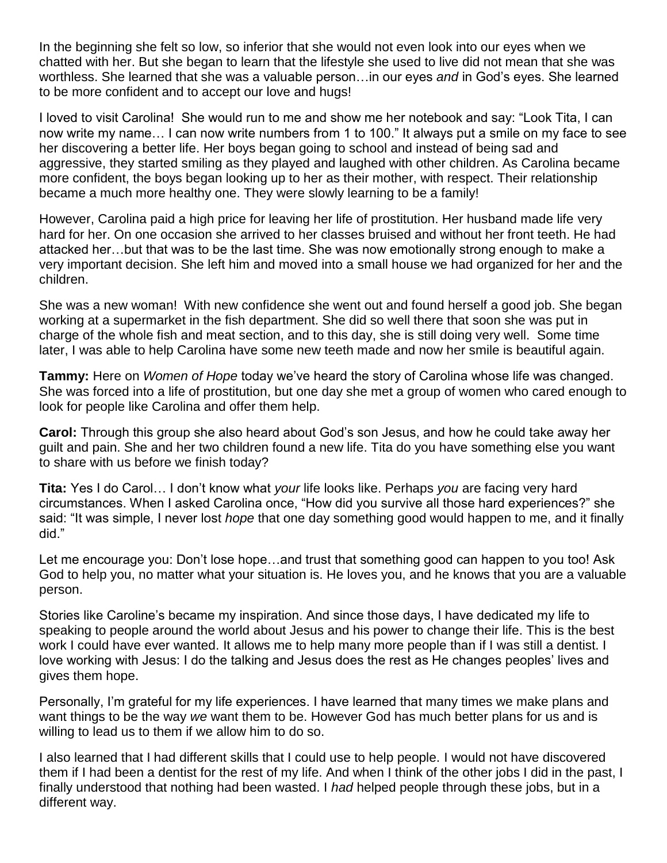In the beginning she felt so low, so inferior that she would not even look into our eyes when we chatted with her. But she began to learn that the lifestyle she used to live did not mean that she was worthless. She learned that she was a valuable person…in our eyes *and* in God's eyes. She learned to be more confident and to accept our love and hugs!

I loved to visit Carolina! She would run to me and show me her notebook and say: "Look Tita, I can now write my name… I can now write numbers from 1 to 100." It always put a smile on my face to see her discovering a better life. Her boys began going to school and instead of being sad and aggressive, they started smiling as they played and laughed with other children. As Carolina became more confident, the boys began looking up to her as their mother, with respect. Their relationship became a much more healthy one. They were slowly learning to be a family!

However, Carolina paid a high price for leaving her life of prostitution. Her husband made life very hard for her. On one occasion she arrived to her classes bruised and without her front teeth. He had attacked her…but that was to be the last time. She was now emotionally strong enough to make a very important decision. She left him and moved into a small house we had organized for her and the children.

She was a new woman! With new confidence she went out and found herself a good job. She began working at a supermarket in the fish department. She did so well there that soon she was put in charge of the whole fish and meat section, and to this day, she is still doing very well. Some time later, I was able to help Carolina have some new teeth made and now her smile is beautiful again.

**Tammy:** Here on *Women of Hope* today we've heard the story of Carolina whose life was changed. She was forced into a life of prostitution, but one day she met a group of women who cared enough to look for people like Carolina and offer them help.

**Carol:** Through this group she also heard about God's son Jesus, and how he could take away her guilt and pain. She and her two children found a new life. Tita do you have something else you want to share with us before we finish today?

**Tita:** Yes I do Carol… I don't know what *your* life looks like. Perhaps *you* are facing very hard circumstances. When I asked Carolina once, "How did you survive all those hard experiences?" she said: "It was simple, I never lost *hope* that one day something good would happen to me, and it finally did."

Let me encourage you: Don't lose hope…and trust that something good can happen to you too! Ask God to help you, no matter what your situation is. He loves you, and he knows that you are a valuable person.

Stories like Caroline's became my inspiration. And since those days, I have dedicated my life to speaking to people around the world about Jesus and his power to change their life. This is the best work I could have ever wanted. It allows me to help many more people than if I was still a dentist. I love working with Jesus: I do the talking and Jesus does the rest as He changes peoples' lives and gives them hope.

Personally, I'm grateful for my life experiences. I have learned that many times we make plans and want things to be the way *we* want them to be. However God has much better plans for us and is willing to lead us to them if we allow him to do so.

I also learned that I had different skills that I could use to help people. I would not have discovered them if I had been a dentist for the rest of my life. And when I think of the other jobs I did in the past, I finally understood that nothing had been wasted. I *had* helped people through these jobs, but in a different way.